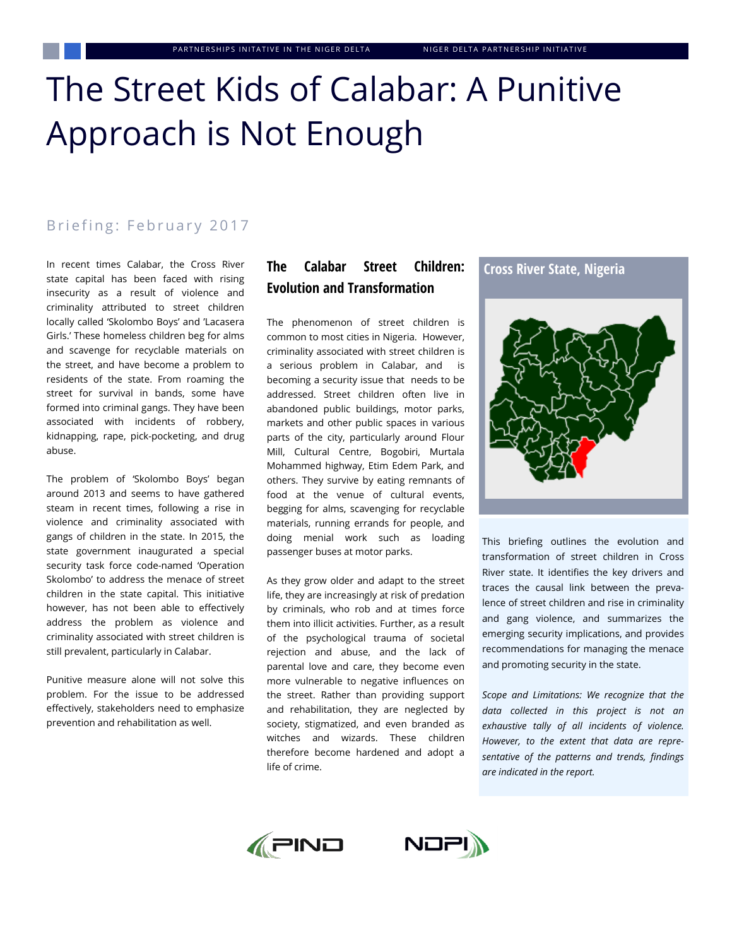# The Street Kids of Calabar: A Punitive Approach is Not Enough

# Briefing: February 2017

In recent times Calabar, the Cross River state capital has been faced with rising insecurity as a result of violence and criminality attributed to street children locally called 'Skolombo Boys' and 'Lacasera Girls.' These homeless children beg for alms and scavenge for recyclable materials on the street, and have become a problem to residents of the state. From roaming the street for survival in bands, some have formed into criminal gangs. They have been associated with incidents of robbery, kidnapping, rape, pick-pocketing, and drug abuse.

The problem of 'Skolombo Boys' began around 2013 and seems to have gathered steam in recent times, following a rise in violence and criminality associated with gangs of children in the state. In 2015, the state government inaugurated a special security task force code-named 'Operation Skolombo' to address the menace of street children in the state capital. This initiative however, has not been able to effectively address the problem as violence and criminality associated with street children is still prevalent, particularly in Calabar.

Punitive measure alone will not solve this problem. For the issue to be addressed effectively, stakeholders need to emphasize prevention and rehabilitation as well.

# **The Calabar Street Children: Evolution and Transformation**

The phenomenon of street children is common to most cities in Nigeria. However, criminality associated with street children is a serious problem in Calabar, and becoming a security issue that needs to be addressed. Street children often live in abandoned public buildings, motor parks, markets and other public spaces in various parts of the city, particularly around Flour Mill, Cultural Centre, Bogobiri, Murtala Mohammed highway, Etim Edem Park, and others. They survive by eating remnants of food at the venue of cultural events, begging for alms, scavenging for recyclable materials, running errands for people, and doing menial work such as loading passenger buses at motor parks.

As they grow older and adapt to the street life, they are increasingly at risk of predation by criminals, who rob and at times force them into illicit activities. Further, as a result of the psychological trauma of societal rejection and abuse, and the lack of parental love and care, they become even more vulnerable to negative influences on the street. Rather than providing support and rehabilitation, they are neglected by society, stigmatized, and even branded as witches and wizards. These children therefore become hardened and adopt a life of crime.

#### **Cross River State, Nigeria**



This briefing outlines the evolution and transformation of street children in Cross River state. It identifies the key drivers and traces the causal link between the prevalence of street children and rise in criminality and gang violence, and summarizes the emerging security implications, and provides recommendations for managing the menace and promoting security in the state.

*Scope and Limitations: We recognize that the data collected in this project is not an exhaustive tally of all incidents of violence. However, to the extent that data are representative of the patterns and trends, findings are indicated in the report.*



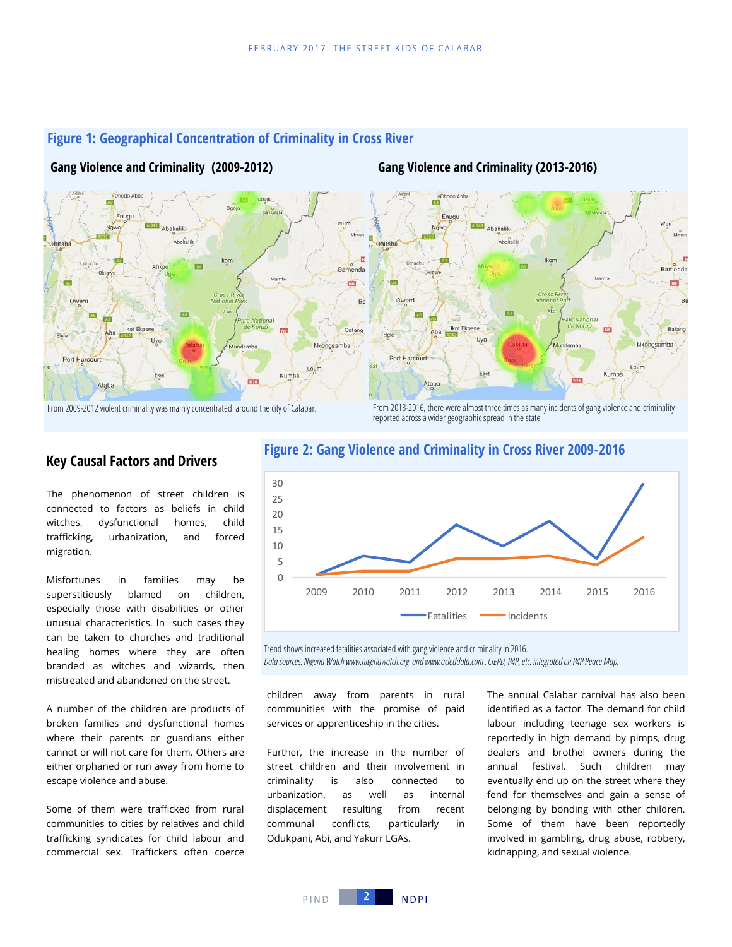

# **Figure 1: Geographical Concentration of Criminality in Cross River**

# **Gang Violence and Criminality (2009-2012) Gang Violence and Criminality (2013-2016)**

From 2009-2012 violent criminality was mainly concentrated around the city of Calabar. From 2013-2016, there were almost three times as many incidents of gang violence and criminality reported across a wider geographic spread in the state

# **Key Causal Factors and Drivers**

The phenomenon of street children is connected to factors as beliefs in child witches, dysfunctional homes, child trafficking, urbanization, and forced migration.

Misfortunes in families may be superstitiously blamed on children, especially those with disabilities or other unusual characteristics. In such cases they can be taken to churches and traditional healing homes where they are often branded as witches and wizards, then mistreated and abandoned on the street.

A number of the children are products of broken families and dysfunctional homes where their parents or guardians either cannot or will not care for them. Others are either orphaned or run away from home to escape violence and abuse.

Some of them were trafficked from rural communities to cities by relatives and child trafficking syndicates for child labour and commercial sex. Traffickers often coerce



# **Figure 2: Gang Violence and Criminality in Cross River 2009-2016**

Trend shows increased fatalities associated with gang violence and criminality in 2016.

*Data sources: Nigeria Watch www.nigeriawatch.org and www.acleddata.com , CIEPD, P4P, etc. integrated on P4P Peace Map.*

children away from parents in rural communities with the promise of paid services or apprenticeship in the cities.

Further, the increase in the number of street children and their involvement in criminality is also connected to urbanization, as well as internal displacement resulting from recent communal conflicts, particularly in Odukpani, Abi, and Yakurr LGAs.

The annual Calabar carnival has also been identified as a factor. The demand for child labour including teenage sex workers is reportedly in high demand by pimps, drug dealers and brothel owners during the annual festival. Such children may eventually end up on the street where they fend for themselves and gain a sense of belonging by bonding with other children. Some of them have been reportedly involved in gambling, drug abuse, robbery, kidnapping, and sexual violence.

PIND 2 NDPI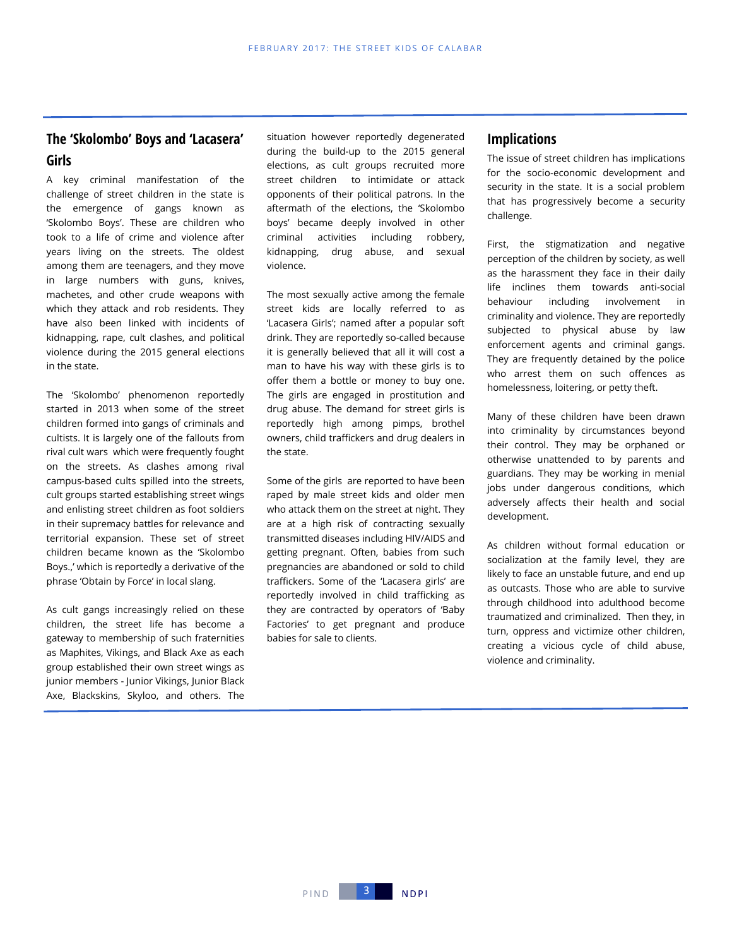# **The 'Skolombo' Boys and 'Lacasera' Girls**

A key criminal manifestation of the challenge of street children in the state is the emergence of gangs known as 'Skolombo Boys'. These are children who took to a life of crime and violence after years living on the streets. The oldest among them are teenagers, and they move in large numbers with guns, knives, machetes, and other crude weapons with which they attack and rob residents. They have also been linked with incidents of kidnapping, rape, cult clashes, and political violence during the 2015 general elections in the state.

The 'Skolombo' phenomenon reportedly started in 2013 when some of the street children formed into gangs of criminals and cultists. It is largely one of the fallouts from rival cult wars which were frequently fought on the streets. As clashes among rival campus-based cults spilled into the streets, cult groups started establishing street wings and enlisting street children as foot soldiers in their supremacy battles for relevance and territorial expansion. These set of street children became known as the 'Skolombo Boys.,' which is reportedly a derivative of the phrase 'Obtain by Force' in local slang.

As cult gangs increasingly relied on these children, the street life has become a gateway to membership of such fraternities as Maphites, Vikings, and Black Axe as each group established their own street wings as junior members - Junior Vikings, Junior Black Axe, Blackskins, Skyloo, and others. The

situation however reportedly degenerated during the build-up to the 2015 general elections, as cult groups recruited more street children to intimidate or attack opponents of their political patrons. In the aftermath of the elections, the 'Skolombo boys' became deeply involved in other criminal activities including robbery, kidnapping, drug abuse, and sexual violence.

The most sexually active among the female street kids are locally referred to as 'Lacasera Girls'; named after a popular soft drink. They are reportedly so-called because it is generally believed that all it will cost a man to have his way with these girls is to offer them a bottle or money to buy one. The girls are engaged in prostitution and drug abuse. The demand for street girls is reportedly high among pimps, brothel owners, child traffickers and drug dealers in the state.

Some of the girls are reported to have been raped by male street kids and older men who attack them on the street at night. They are at a high risk of contracting sexually transmitted diseases including HIV/AIDS and getting pregnant. Often, babies from such pregnancies are abandoned or sold to child traffickers. Some of the 'Lacasera girls' are reportedly involved in child trafficking as they are contracted by operators of 'Baby Factories' to get pregnant and produce babies for sale to clients.

## **Implications**

The issue of street children has implications for the socio-economic development and security in the state. It is a social problem that has progressively become a security challenge.

First, the stigmatization and negative perception of the children by society, as well as the harassment they face in their daily life inclines them towards anti-social behaviour including involvement in criminality and violence. They are reportedly subjected to physical abuse by law enforcement agents and criminal gangs. They are frequently detained by the police who arrest them on such offences as homelessness, loitering, or petty theft.

Many of these children have been drawn into criminality by circumstances beyond their control. They may be orphaned or otherwise unattended to by parents and guardians. They may be working in menial jobs under dangerous conditions, which adversely affects their health and social development.

As children without formal education or socialization at the family level, they are likely to face an unstable future, and end up as outcasts. Those who are able to survive through childhood into adulthood become traumatized and criminalized. Then they, in turn, oppress and victimize other children, creating a vicious cycle of child abuse, violence and criminality.